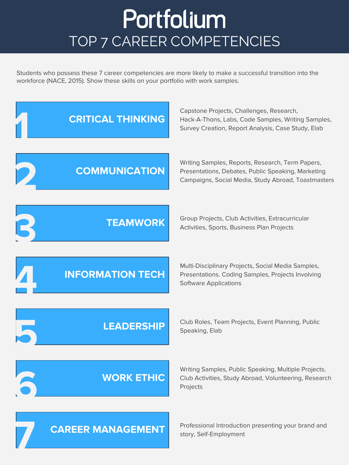## Portfolium TOP 7 CAREER COMPETENCIES

Students who possess these 7 career competencies are more likely to make a successful transition into the workforce (NACE, 2015). Show these skills on your portfolio with work samples.